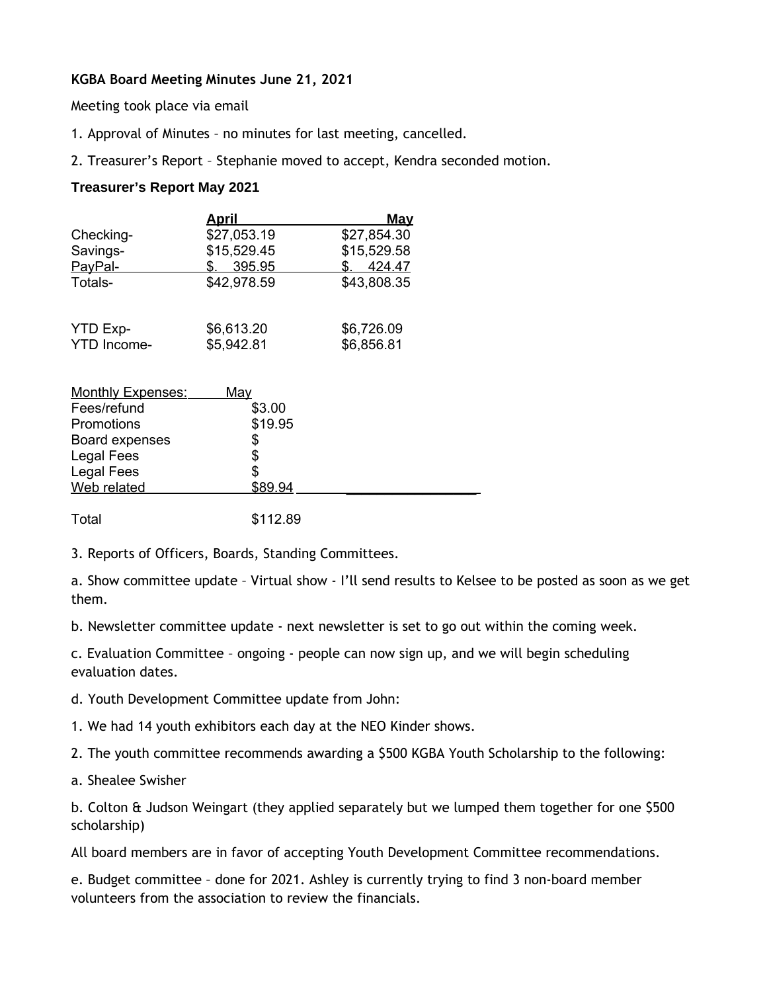## **KGBA Board Meeting Minutes June 21, 2021**

Meeting took place via email

- 1. Approval of Minutes no minutes for last meeting, cancelled.
- 2. Treasurer's Report Stephanie moved to accept, Kendra seconded motion.

## **Treasurer's Report May 2021**

|                    | <u>April</u> | <b>May</b>  |
|--------------------|--------------|-------------|
| Checking-          | \$27,053.19  | \$27,854.30 |
| Savings-           | \$15,529.45  | \$15,529.58 |
| PayPal-            | 395.95       | 424.47      |
| Totals-            | \$42,978.59  | \$43,808.35 |
| YTD Exp-           | \$6,613.20   | \$6,726.09  |
| <b>YTD</b> Income- | \$5,942.81   | \$6,856.81  |

| <b>Monthly Expenses:</b> | <u>Mav</u> |  |
|--------------------------|------------|--|
| Fees/refund              | \$3.00     |  |
| Promotions               | \$19.95    |  |
| Board expenses           |            |  |
| Legal Fees               |            |  |
| Legal Fees               |            |  |
| Web related              | \$89.94    |  |
|                          |            |  |

Total \$112.89

3. Reports of Officers, Boards, Standing Committees.

a. Show committee update – Virtual show - I'll send results to Kelsee to be posted as soon as we get them.

b. Newsletter committee update - next newsletter is set to go out within the coming week.

c. Evaluation Committee – ongoing - people can now sign up, and we will begin scheduling evaluation dates.

- d. Youth Development Committee update from John:
- 1. We had 14 youth exhibitors each day at the NEO Kinder shows.
- 2. The youth committee recommends awarding a \$500 KGBA Youth Scholarship to the following:
- a. Shealee Swisher

b. Colton & Judson Weingart (they applied separately but we lumped them together for one \$500 scholarship)

All board members are in favor of accepting Youth Development Committee recommendations.

e. Budget committee – done for 2021. Ashley is currently trying to find 3 non-board member volunteers from the association to review the financials.